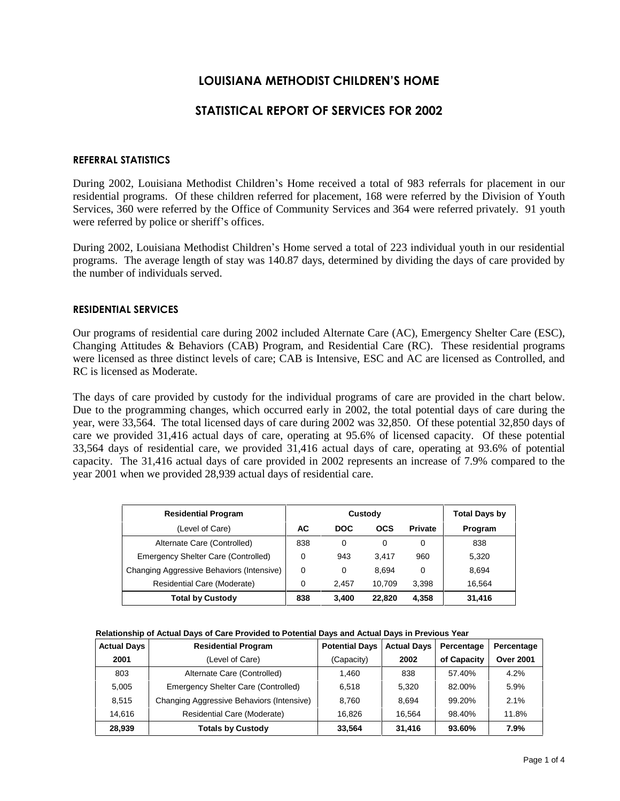# **LOUISIANA METHODIST CHILDRENíS HOME**

## **STATISTICAL REPORT OF SERVICES FOR 2002**

### **REFERRAL STATISTICS**

During 2002, Louisiana Methodist Children's Home received a total of 983 referrals for placement in our residential programs. Of these children referred for placement, 168 were referred by the Division of Youth Services, 360 were referred by the Office of Community Services and 364 were referred privately. 91 youth were referred by police or sheriff's offices.

During 2002, Louisiana Methodist Children's Home served a total of 223 individual youth in our residential programs. The average length of stay was 140.87 days, determined by dividing the days of care provided by the number of individuals served.

## **RESIDENTIAL SERVICES**

Our programs of residential care during 2002 included Alternate Care (AC), Emergency Shelter Care (ESC), Changing Attitudes & Behaviors (CAB) Program, and Residential Care (RC). These residential programs were licensed as three distinct levels of care; CAB is Intensive, ESC and AC are licensed as Controlled, and RC is licensed as Moderate.

The days of care provided by custody for the individual programs of care are provided in the chart below. Due to the programming changes, which occurred early in 2002, the total potential days of care during the year, were 33,564. The total licensed days of care during 2002 was 32,850. Of these potential 32,850 days of care we provided 31,416 actual days of care, operating at 95.6% of licensed capacity. Of these potential 33,564 days of residential care, we provided 31,416 actual days of care, operating at 93.6% of potential capacity. The 31,416 actual days of care provided in 2002 represents an increase of 7.9% compared to the year 2001 when we provided 28,939 actual days of residential care.

| <b>Residential Program</b>                |          | Custody    | <b>Total Days by</b> |                |         |
|-------------------------------------------|----------|------------|----------------------|----------------|---------|
| (Level of Care)                           | AC       | <b>DOC</b> | <b>OCS</b>           | <b>Private</b> | Program |
| Alternate Care (Controlled)               | 838      | 0          | 0                    | 0              | 838     |
| Emergency Shelter Care (Controlled)       | 0        | 943        | 3.417                | 960            | 5.320   |
| Changing Aggressive Behaviors (Intensive) | $\Omega$ | 0          | 8.694                | 0              | 8.694   |
| Residential Care (Moderate)               | 0        | 2.457      | 10.709               | 3.398          | 16.564  |
| <b>Total by Custody</b>                   | 838      | 3,400      | 22,820               | 4,358          | 31,416  |

**Relationship of Actual Days of Care Provided to Potential Days and Actual Days in Previous Year**

| <b>Actual Days</b> | <b>Residential Program</b>                | <b>Potential Days</b> | <b>Actual Days</b> | Percentage  | Percentage       |
|--------------------|-------------------------------------------|-----------------------|--------------------|-------------|------------------|
| 2001               | (Level of Care)                           | (Capacity)            | 2002               | of Capacity | <b>Over 2001</b> |
| 803                | Alternate Care (Controlled)               | 1.460                 | 838                | 57.40%      | 4.2%             |
| 5.005              | Emergency Shelter Care (Controlled)       | 6.518                 | 5.320              | 82.00%      | 5.9%             |
| 8,515              | Changing Aggressive Behaviors (Intensive) | 8.760                 | 8.694              | 99.20%      | 2.1%             |
| 14.616             | Residential Care (Moderate)               | 16.826                | 16.564             | 98.40%      | 11.8%            |
| 28,939             | <b>Totals by Custody</b>                  | 33.564                | 31,416             | 93.60%      | 7.9%             |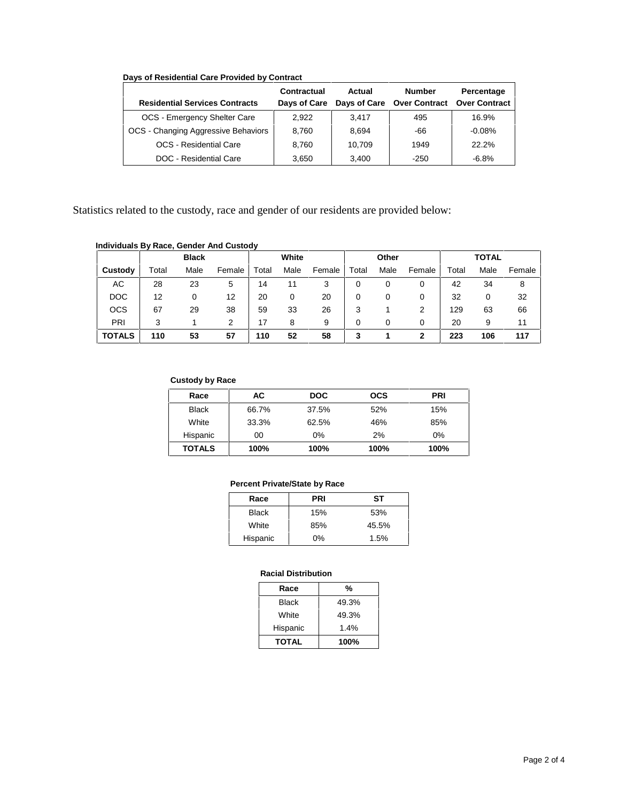|  | Days of Residential Care Provided by Contract |  |  |
|--|-----------------------------------------------|--|--|
|  |                                               |  |  |

|                                       | Contractual  | Actual | <b>Number</b>              | Percentage           |
|---------------------------------------|--------------|--------|----------------------------|----------------------|
| <b>Residential Services Contracts</b> | Days of Care |        | Days of Care Over Contract | <b>Over Contract</b> |
| OCS - Emergency Shelter Care          | 2.922        | 3.417  | 495                        | 16.9%                |
| OCS - Changing Aggressive Behaviors   | 8.760        | 8.694  | -66                        | $-0.08%$             |
| <b>OCS</b> - Residential Care         | 8.760        | 10.709 | 1949                       | 22.2%                |
| DOC - Residential Care                | 3.650        | 3.400  | $-250$                     | $-6.8%$              |

Statistics related to the custody, race and gender of our residents are provided below:

## **Individuals By Race, Gender And Custody**

|               | <b>Black</b> |      | White  |       | Other |        | <b>TOTAL</b> |      |        |       |      |        |
|---------------|--------------|------|--------|-------|-------|--------|--------------|------|--------|-------|------|--------|
| Custody       | Total        | Male | Female | Total | Male  | Female | Total        | Male | Female | Total | Male | Female |
| AC            | 28           | 23   | 5      | 14    |       | 3      |              | 0    | 0      | 42    | 34   | 8      |
| <b>DOC</b>    | 12           | 0    | 12     | 20    | 0     | 20     | 0            | 0    | 0      | 32    | 0    | 32     |
| <b>OCS</b>    | 67           | 29   | 38     | 59    | 33    | 26     | 3            |      | 2      | 129   | 63   | 66     |
| <b>PRI</b>    | 3            |      | 2      | 17    | 8     | 9      | 0            |      | 0      | 20    | 9    | 11     |
| <b>TOTALS</b> | 110          | 53   | 57     | 110   | 52    | 58     | 3            |      | 2      | 223   | 106  | 117    |

#### **Custody by Race**

| Race          | АC    | <b>DOC</b> | <b>OCS</b> | <b>PRI</b> |
|---------------|-------|------------|------------|------------|
| <b>Black</b>  | 66.7% | 37.5%      | 52%        | 15%        |
| White         | 33.3% | 62.5%      | 46%        | 85%        |
| Hispanic      | 00    | 0%         | 2%         | $0\%$      |
| <b>TOTALS</b> | 100%  | 100%       | 100%       | 100%       |

#### **Percent Private/State by Race**

| Race         | <b>PRI</b> | SТ    |
|--------------|------------|-------|
| <b>Black</b> | 15%        | 53%   |
| White        | 85%        | 45.5% |
| Hispanic     | 0%         | 1.5%  |

## **Racial Distribution**

| Race         | %     |
|--------------|-------|
| <b>Black</b> | 49.3% |
| White        | 49.3% |
| Hispanic     | 1.4%  |
| <b>TOTAL</b> | 100%  |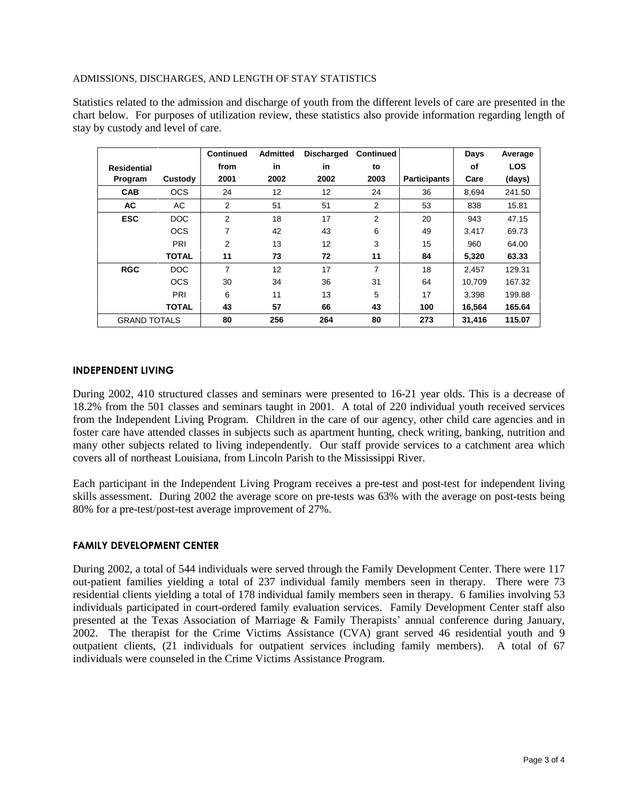## ADMISSIONS, DISCHARGES, AND LENGTH OF STAY STATISTICS

Statistics related to the admission and discharge of youth from the different levels of care are presented in the chart below. For purposes of utilization review, these statistics also provide information regarding length of stay by custody and level of care.

|                     |              | <b>Continued</b> | <b>Admitted</b> | <b>Discharged</b> | <b>Continued</b> |                     | Days   | Average    |
|---------------------|--------------|------------------|-----------------|-------------------|------------------|---------------------|--------|------------|
| <b>Residential</b>  |              | from             | in              | in                | to               |                     | οf     | <b>LOS</b> |
| Program             | Custody      | 2001             | 2002            | 2002              | 2003             | <b>Participants</b> | Care   | (days)     |
| <b>CAB</b>          | <b>OCS</b>   | 24               | 12              | 12                | 24               | 36                  | 8,694  | 241.50     |
| AC                  | AC           | 2                | 51              | 51                | 2                | 53                  | 838    | 15.81      |
| <b>ESC</b>          | DOC          | $\overline{2}$   | 18              | 17                | 2                | 20                  | 943    | 47.15      |
|                     | <b>OCS</b>   | 7                | 42              | 43                | 6                | 49                  | 3.417  | 69.73      |
|                     | PRI          | 2                | 13              | 12                | 3                | 15                  | 960    | 64.00      |
|                     | <b>TOTAL</b> | 11               | 73              | 72                | 11               | 84                  | 5,320  | 63.33      |
| <b>RGC</b>          | DOC          | $\overline{7}$   | 12              | 17                | $\overline{7}$   | 18                  | 2,457  | 129.31     |
|                     | <b>OCS</b>   | 30               | 34              | 36                | 31               | 64                  | 10.709 | 167.32     |
|                     | PRI          | 6                | 11              | 13                | 5                | 17                  | 3,398  | 199.88     |
|                     | <b>TOTAL</b> | 43               | 57              | 66                | 43               | 100                 | 16.564 | 165.64     |
| <b>GRAND TOTALS</b> |              | 80               | 256             | 264               | 80               | 273                 | 31,416 | 115.07     |

## **INDEPENDENT LIVING**

During 2002, 410 structured classes and seminars were presented to 16-21 year olds. This is a decrease of 18.2% from the 501 classes and seminars taught in 2001. A total of 220 individual youth received services from the Independent Living Program. Children in the care of our agency, other child care agencies and in foster care have attended classes in subjects such as apartment hunting, check writing, banking, nutrition and many other subjects related to living independently. Our staff provide services to a catchment area which covers all of northeast Louisiana, from Lincoln Parish to the Mississippi River.

Each participant in the Independent Living Program receives a pre-test and post-test for independent living skills assessment. During 2002 the average score on pre-tests was 63% with the average on post-tests being 80% for a pre-test/post-test average improvement of 27%.

## **FAMILY DEVELOPMENT CENTER**

During 2002, a total of 544 individuals were served through the Family Development Center. There were 117 out-patient families yielding a total of 237 individual family members seen in therapy. There were 73 residential clients yielding a total of 178 individual family members seen in therapy. 6 families involving 53 individuals participated in court-ordered family evaluation services. Family Development Center staff also presented at the Texas Association of Marriage  $\&$  Family Therapists' annual conference during January, 2002. The therapist for the Crime Victims Assistance (CVA) grant served 46 residential youth and 9 outpatient clients, (21 individuals for outpatient services including family members). A total of 67 individuals were counseled in the Crime Victims Assistance Program.